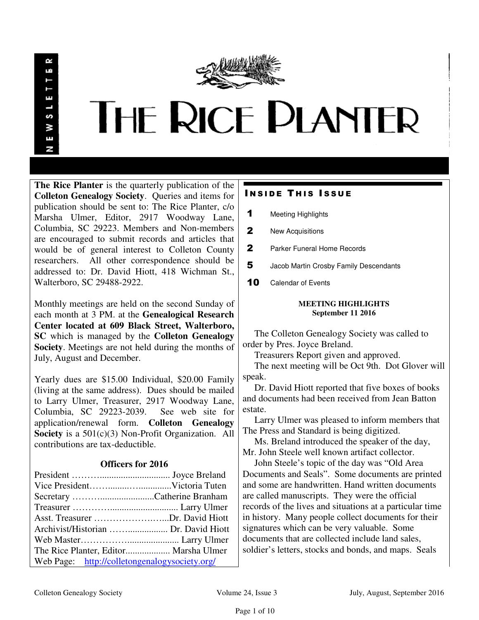

**The Rice Planter** is the quarterly publication of the **Colleton Genealogy Society**. Queries and items for publication should be sent to: The Rice Planter, c/o Marsha Ulmer, Editor, 2917 Woodway Lane, Columbia, SC 29223. Members and Non-members are encouraged to submit records and articles that would be of general interest to Colleton County researchers. All other correspondence should be addressed to: Dr. David Hiott, 418 Wichman St., Walterboro, SC 29488-2922.

Monthly meetings are held on the second Sunday of each month at 3 PM. at the **Genealogical Research Center located at 609 Black Street, Walterboro, SC** which is managed by the **Colleton Genealogy Society**. Meetings are not held during the months of July, August and December.

Yearly dues are \$15.00 Individual, \$20.00 Family (living at the same address). Dues should be mailed to Larry Ulmer, Treasurer, 2917 Woodway Lane, Columbia, SC 29223-2039. See web site for application/renewal form. **Colleton Genealogy Society** is a 501(c)(3) Non-Profit Organization. All contributions are tax-deductible.

## **Officers for 2016**

| Asst. Treasurer Dr. David Hiott               |  |
|-----------------------------------------------|--|
|                                               |  |
|                                               |  |
| The Rice Planter, Editor Marsha Ulmer         |  |
| Web Page: http://colletongenalogysociety.org/ |  |

## **INSIDE THIS ISSUE**

| 1 | <b>Meeting Highlights</b> |  |
|---|---------------------------|--|
| 2 | New Acquisitions          |  |

- 
- 2 Parker Funeral Home Records
- 5 Jacob Martin Crosby Family Descendants
- 10 Calendar of Events

## **MEETING HIGHLIGHTS September 11 2016**

 The Colleton Genealogy Society was called to order by Pres. Joyce Breland.

Treasurers Report given and approved.

 The next meeting will be Oct 9th. Dot Glover will speak.

 Dr. David Hiott reported that five boxes of books and documents had been received from Jean Batton estate.

 Larry Ulmer was pleased to inform members that The Press and Standard is being digitized.

 Ms. Breland introduced the speaker of the day, Mr. John Steele well known artifact collector.

 John Steele's topic of the day was "Old Area Documents and Seals". Some documents are printed and some are handwritten. Hand written documents are called manuscripts. They were the official records of the lives and situations at a particular time in history. Many people collect documents for their signatures which can be very valuable. Some documents that are collected include land sales, soldier's letters, stocks and bonds, and maps. Seals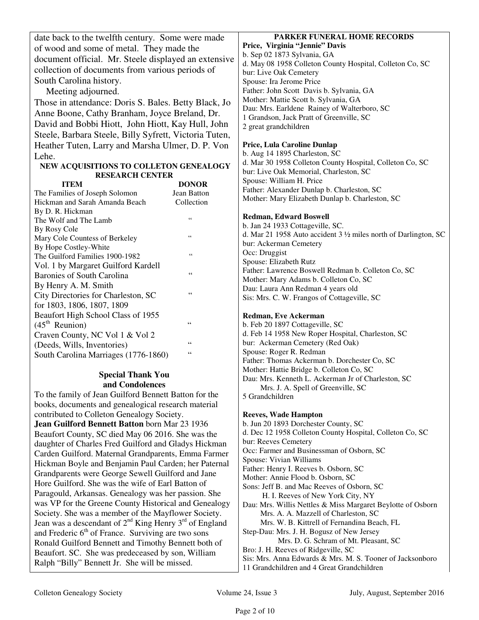|                                            | date back to the twelfth century. Some were made              | PARKER FUNERAL HOME RECORDS                                                |
|--------------------------------------------|---------------------------------------------------------------|----------------------------------------------------------------------------|
|                                            | of wood and some of metal. They made the                      | Price, Virginia "Jennie" Davis                                             |
|                                            | document official. Mr. Steele displayed an extensive          | b. Sep 02 1873 Sylvania, GA                                                |
|                                            | collection of documents from various periods of               | d. May 08 1958 Colleton County Hospital, Colleton Co, SC                   |
|                                            |                                                               | bur: Live Oak Cemetery                                                     |
|                                            | South Carolina history.                                       | Spouse: Ira Jerome Price                                                   |
|                                            | Meeting adjourned.                                            | Father: John Scott Davis b. Sylvania, GA                                   |
|                                            | Those in attendance: Doris S. Bales. Betty Black, Jo          | Mother: Mattie Scott b. Sylvania, GA                                       |
|                                            | Anne Boone, Cathy Branham, Joyce Breland, Dr.                 | Dau: Mrs. Earldene Rainey of Walterboro, SC                                |
|                                            | David and Bobbi Hiott, John Hiott, Kay Hull, John             | 1 Grandson, Jack Pratt of Greenville, SC<br>2 great grandchildren          |
|                                            | Steele, Barbara Steele, Billy Syfrett, Victoria Tuten,        |                                                                            |
|                                            | Heather Tuten, Larry and Marsha Ulmer, D. P. Von              | Price, Lula Caroline Dunlap                                                |
|                                            |                                                               | b. Aug 14 1895 Charleston, SC                                              |
|                                            | Lehe.                                                         | d. Mar 30 1958 Colleton County Hospital, Colleton Co, SC                   |
|                                            | NEW ACQUISITIONS TO COLLETON GENEALOGY                        | bur: Live Oak Memorial, Charleston, SC                                     |
|                                            | <b>RESEARCH CENTER</b><br><b>ITEM</b>                         | Spouse: William H. Price                                                   |
|                                            | <b>DONOR</b><br>Jean Batton<br>The Families of Joseph Solomon | Father: Alexander Dunlap b. Charleston, SC                                 |
|                                            | Hickman and Sarah Amanda Beach<br>Collection                  | Mother: Mary Elizabeth Dunlap b. Charleston, SC                            |
|                                            | By D. R. Hickman                                              |                                                                            |
|                                            | $\zeta \, \zeta$<br>The Wolf and The Lamb                     | <b>Redman, Edward Boswell</b>                                              |
|                                            | By Rosy Cole                                                  | b. Jan 24 1933 Cottageville, SC.                                           |
|                                            | $\zeta$ $\zeta$<br>Mary Cole Countess of Berkeley             | d. Mar 21 1958 Auto accident $3\frac{1}{2}$ miles north of Darlington, SC  |
|                                            | By Hope Costley-White                                         | bur: Ackerman Cemetery                                                     |
|                                            | $\zeta$ $\zeta$<br>The Guilford Families 1900-1982            | Occ: Druggist                                                              |
|                                            | Vol. 1 by Margaret Guilford Kardell                           | Spouse: Elizabeth Rutz                                                     |
|                                            | $\zeta$ $\zeta$<br><b>Baronies of South Carolina</b>          | Father: Lawrence Boswell Redman b. Colleton Co, SC                         |
|                                            | By Henry A. M. Smith                                          | Mother: Mary Adams b. Colleton Co, SC<br>Dau: Laura Ann Redman 4 years old |
|                                            | $\zeta$ $\zeta$<br>City Directories for Charleston, SC        | Sis: Mrs. C. W. Frangos of Cottageville, SC                                |
|                                            | for 1803, 1806, 1807, 1809                                    |                                                                            |
|                                            | Beaufort High School Class of 1955                            | Redman, Eve Ackerman                                                       |
|                                            | $(45th$ Reunion)<br>$\leq \leq$                               | b. Feb 20 1897 Cottageville, SC                                            |
|                                            | Craven County, NC Vol 1 & Vol 2                               | d. Feb 14 1958 New Roper Hospital, Charleston, SC                          |
|                                            | $\leq \leq$<br>(Deeds, Wills, Inventories)                    | bur: Ackerman Cemetery (Red Oak)                                           |
|                                            | $\leq \leq$<br>South Carolina Marriages (1776-1860)           | Spouse: Roger R. Redman                                                    |
|                                            |                                                               | Father: Thomas Ackerman b. Dorchester Co, SC                               |
|                                            | <b>Special Thank You</b>                                      | Mother: Hattie Bridge b. Colleton Co, SC                                   |
|                                            | and Condolences                                               | Dau: Mrs. Kenneth L. Ackerman Jr of Charleston, SC                         |
|                                            |                                                               | Mrs. J. A. Spell of Greenville, SC                                         |
|                                            | To the family of Jean Guilford Bennett Batton for the         | 5 Grandchildren                                                            |
|                                            | books, documents and genealogical research material           |                                                                            |
| contributed to Colleton Genealogy Society. |                                                               | <b>Reeves, Wade Hampton</b>                                                |
|                                            | Jean Guilford Bennett Batton born Mar 23 1936                 | b. Jun 20 1893 Dorchester County, SC                                       |
|                                            | Beaufort County, SC died May 06 2016. She was the             | d. Dec 12 1958 Colleton County Hospital, Colleton Co, SC                   |
|                                            | daughter of Charles Fred Guilford and Gladys Hickman          | bur: Reeves Cemetery<br>Occ: Farmer and Businessman of Osborn, SC          |
|                                            | Carden Guilford. Maternal Grandparents, Emma Farmer           | Spouse: Vivian Williams                                                    |
|                                            | Hickman Boyle and Benjamin Paul Carden; her Paternal          | Father: Henry I. Reeves b. Osborn, SC                                      |
|                                            | Grandparents were George Sewell Guilford and Jane             | $M$ othar Annie Elood b Osharn $SC$                                        |

Mother: Annie Flood b. Osborn, SC

Sons: Jeff B. and Mac Reeves of Osborn, SC

H. I. Reeves of New York City, NY

Dau: Mrs. Willis Nettles & Miss Margaret Beylotte of Osborn Mrs. A. A. Mazzell of Charleston, SC

Mrs. W. B. Kittrell of Fernandina Beach, FL

Step-Dau: Mrs. J. H. Bogusz of New Jersey

 Mrs. D. G. Schram of Mt. Pleasant, SC Bro: J. H. Reeves of Ridgeville, SC

Sis: Mrs. Anna Edwards & Mrs. M. S. Tooner of Jacksonboro

11 Grandchildren and 4 Great Grandchildren

Hore Guilford. She was the wife of Earl Batton of Paragould, Arkansas. Genealogy was her passion. She was VP for the Greene County Historical and Genealogy Society. She was a member of the Mayflower Society. Jean was a descendant of 2<sup>nd</sup> King Henry 3<sup>rd</sup> of England and Frederic  $6<sup>th</sup>$  of France. Surviving are two sons Ronald Guilford Bennett and Timothy Bennett both of Beaufort. SC. She was predeceased by son, William Ralph "Billy" Bennett Jr. She will be missed.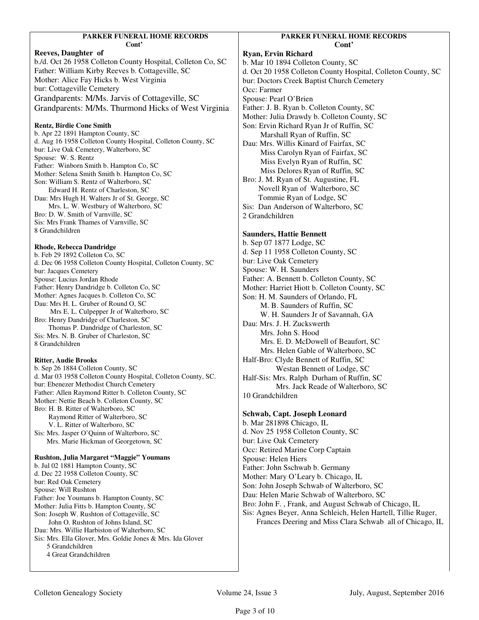| PARKER FUNERAL HOME RECORDS                                                                    | <b>PARK</b>             |
|------------------------------------------------------------------------------------------------|-------------------------|
| Cont'                                                                                          |                         |
| Reeves, Daughter of                                                                            | Ryan, Ervin Rich        |
| b./d. Oct 26 1958 Colleton County Hospital, Colleton Co, SC                                    | b. Mar 10 1894 Co       |
| Father: William Kirby Reeves b. Cottageville, SC                                               | d. Oct 20 1958 Co       |
| Mother: Alice Fay Hicks b. West Virginia                                                       | bur: Doctors Cree       |
| bur: Cottageville Cemetery                                                                     | Occ: Farmer             |
| Grandparents: M/Ms. Jarvis of Cottageville, SC                                                 | Spouse: Pearl O'B       |
| Grandparents: M/Ms. Thurmond Hicks of West Virginia                                            | Father: J. B. Ryan      |
|                                                                                                | Mother: Julia Dra       |
| <b>Rentz, Birdie Cone Smith</b>                                                                | Son: Ervin Richar       |
| b. Apr 22 1891 Hampton County, SC                                                              | Marshall Ry             |
| d. Aug 16 1958 Colleton County Hospital, Colleton County, SC                                   | Dau: Mrs. Willis I      |
| bur: Live Oak Cemetery, Walterboro, SC                                                         | Miss Caroly             |
| Spouse: W. S. Rentz                                                                            | Miss Evelyn             |
| Father: Winborn Smith b. Hampton Co, SC<br>Mother: Selena Smith Smith b. Hampton Co, SC        | Miss Delore             |
| Son: William S. Rentz of Walterboro, SC                                                        | Bro: J. M. Ryan of      |
| Edward H. Rentz of Charleston, SC                                                              | Novell Ryan             |
| Dau: Mrs Hugh H. Walters Jr of St. George, SC                                                  | Tommie Rya              |
| Mrs. L. W. Westbury of Walterboro, SC                                                          | Sis: Dan Anderso        |
| Bro: D. W. Smith of Varnville, SC                                                              | 2 Grandchildren         |
| Sis: Mrs Frank Thames of Varnville, SC                                                         |                         |
| 8 Grandchildren                                                                                | <b>Saunders, Hattie</b> |
|                                                                                                | b. Sep 07 1877 Lc       |
| <b>Rhode, Rebecca Dandridge</b>                                                                | d. Sep 11 1958 Co       |
| b. Feb 29 1892 Colleton Co, SC                                                                 | bur: Live Oak Cer       |
| d. Dec 06 1958 Colleton County Hospital, Colleton County, SC                                   | Spouse: W. H. Sat       |
| bur: Jacques Cemetery<br>Spouse: Lucius Jordan Rhode                                           | Father: A. Bennett      |
| Father: Henry Dandridge b. Colleton Co, SC                                                     | Mother: Harriet H       |
| Mother: Agnes Jacques b. Colleton Co, SC                                                       | Son: H. M. Saund        |
| Dau: Mrs H. L. Gruber of Round O, SC                                                           | M. B. Saund             |
| Mrs E. L. Culpepper Jr of Walterboro, SC                                                       |                         |
| Bro: Henry Dandridge of Charleston, SC                                                         | W. H. Saund             |
| Thomas P. Dandridge of Charleston, SC                                                          | Dau: Mrs. J. H. Zu      |
| Sis: Mrs. N. B. Gruber of Charleston, SC                                                       | Mrs. John S.            |
| 8 Grandchildren                                                                                | Mrs. E. D. M            |
|                                                                                                | Mrs. Helen 0            |
| <b>Ritter, Audie Brooks</b>                                                                    | Half-Bro: Clyde B       |
| b. Sep 26 1884 Colleton County, SC                                                             | Westan                  |
| d. Mar 03 1958 Colleton County Hospital, Colleton County, SC.                                  | Half-Sis: Mrs. Ral      |
| bur: Ebenezer Methodist Church Cemetery<br>Father: Allen Raymond Ritter b. Colleton County, SC | Mrs. Ja                 |
| Mother: Nettie Beach b. Colleton County, SC                                                    | 10 Grandchildren        |
| Bro: H. B. Ritter of Walterboro, SC                                                            |                         |
| Raymond Ritter of Walterboro, SC                                                               | Schwab, Capt. Jo        |
| V. L. Ritter of Walterboro, SC                                                                 | b. Mar 281898 Ch        |
| Sis: Mrs. Jasper O'Quinn of Walterboro, SC                                                     | d. Nov 25 1958 C        |
| Mrs. Marie Hickman of Georgetown, SC                                                           | bur: Live Oak Cer       |
|                                                                                                | Occ: Retired Mari       |
| Rushton, Julia Margaret "Maggie" Youmans                                                       | Spouse: Helen Hie       |
| b. Jul 02 1881 Hampton County, SC                                                              | Father: John Ssch       |
| d. Dec 22 1958 Colleton County, SC                                                             | Mother: Mary O'I        |
| bur: Red Oak Cemetery                                                                          | Son: John Joseph        |
| Spouse: Will Rushton                                                                           | Dau: Helen Marie        |
| Father: Joe Youmans b. Hampton County, SC                                                      |                         |

Mother: Julia Fitts b. Hampton County, SC Son: Joseph W. Rushton of Cottageville, SC John O. Rushton of Johns Island, SC Dau: Mrs. Willie Harbiston of Walterboro, SC Sis: Mrs. Ella Glover, Mrs. Goldie Jones & Mrs. Ida Glover 5 Grandchildren 4 Great Grandchildren

#### **KER FUNERAL HOME RECORDS Cont'**

**hard** Colleton County, SC olleton County Hospital, Colleton County, SC ek Baptist Church Cemetery Brien n b. Colleton County, SC awdy b. Colleton County, SC rd Ryan Jr of Ruffin, SC van of Ruffin, SC Kinard of Fairfax, SC yn Ryan of Fairfax, SC n Ryan of Ruffin, SC es Ryan of Ruffin, SC of St. Augustine, FL n of Walterboro, SC an of Lodge, SC on of Walterboro, SC

#### **e** Bennett

odge, SC olleton County, SC metery aunders tt b. Colleton County, SC Hiott b. Colleton County, SC ders of Orlando, FL ders of Ruffin, SC ders Jr of Savannah, GA Iuckswerth. S. Hood McDowell of Beaufort. SC Gable of Walterboro, SC Bennett of Ruffin, SC n Bennett of Lodge, SC alph Durham of Ruffin, SC ack Reade of Walterboro, SC

# **Soseph Leonard**

hicago, IL Colleton County, SC metery ine Corp Captain iers hwab b. Germany Leary b. Chicago, IL Schwab of Walterboro, SC e Schwab of Walterboro, SC Bro: John F. , Frank, and August Schwab of Chicago, IL Sis: Agnes Beyer, Anna Schleich, Helen Hartell, Tillie Ruger, Frances Deering and Miss Clara Schwab all of Chicago, IL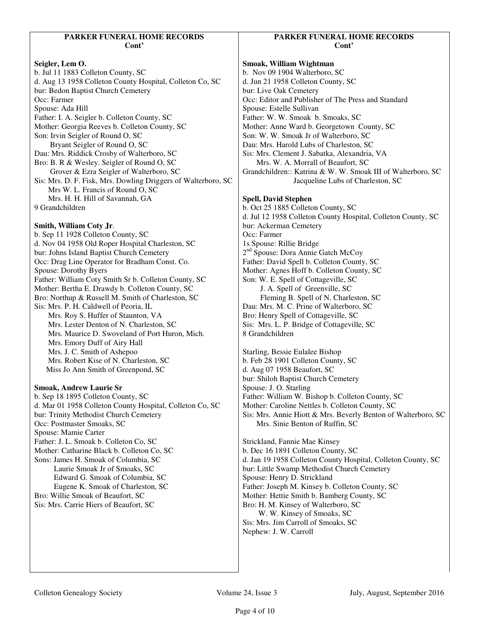## **Seigler, Lem O.**

b. Jul 11 1883 Colleton County, SC d. Aug 13 1958 Colleton County Hospital, Colleton Co, SC bur: Bedon Baptist Church Cemetery Occ: Farmer Spouse: Ada Hill Father: I. A. Seigler b. Colleton County, SC Mother: Georgia Reeves b. Colleton County, SC Son: Irvin Seigler of Round O, SC Bryant Seigler of Round O, SC Dau: Mrs. Riddick Crosby of Walterboro, SC Bro: B. R & Wesley. Seigler of Round O, SC Grover & Ezra Seigler of Walterboro, SC Sis: Mrs. D. F. Fisk, Mrs. Dowling Driggers of Walterboro, SC Mrs W. L. Francis of Round O, SC Mrs. H. H. Hill of Savannah, GA 9 Grandchildren

## **Smith, William Coty Jr**.

b. Sep 11 1928 Colleton County, SC d. Nov 04 1958 Old Roper Hospital Charleston, SC bur: Johns Island Baptist Church Cemetery Occ: Drag Line Operator for Bradham Const. Co. Spouse: Dorothy Byers Father: William Coty Smith Sr b. Colleton County, SC Mother: Bertha E. Drawdy b. Colleton County, SC Bro: Northup & Russell M. Smith of Charleston, SC Sis: Mrs. P. H. Caldwell of Peoria, IL Mrs. Roy S. Huffer of Staunton, VA Mrs. Lester Denton of N. Charleston, SC Mrs. Maurice D. Swoveland of Port Huron, Mich. Mrs. Emory Duff of Airy Hall Mrs. J. C. Smith of Ashepoo Mrs. Robert Kise of N. Charleston, SC Miss Jo Ann Smith of Greenpond, SC

#### **Smoak, Andrew Laurie Sr**

b. Sep 18 1895 Colleton County, SC d. Mar 01 1958 Colleton County Hospital, Colleton Co, SC bur: Trinity Methodist Church Cemetery Occ: Postmaster Smoaks, SC Spouse: Mamie Carter Father: J. L. Smoak b. Colleton Co, SC Mother: Catharine Black b. Colleton Co, SC Sons: James H. Smoak of Columbia, SC Laurie Smoak Jr of Smoaks, SC Edward G. Smoak of Columbia, SC Eugene K. Smoak of Charleston, SC Bro: Willie Smoak of Beaufort, SC Sis: Mrs. Carrie Hiers of Beaufort, SC

## **PARKER FUNERAL HOME RECORDS Cont'**

**Smoak, William Wightman**  b. Nov 09 1904 Walterboro, SC d. Jun 21 1958 Colleton County, SC bur: Live Oak Cemetery Occ: Editor and Publisher of The Press and Standard Spouse: Estelle Sullivan Father: W. W. Smoak b. Smoaks, SC Mother: Anne Ward b. Georgetown County, SC Son: W. W. Smoak Jr of Walterboro, SC Dau: Mrs. Harold Lubs of Charleston, SC Sis: Mrs. Clement J. Sabatka, Alexandria, VA Mrs. W. A. Morrall of Beaufort, SC Grandchildren:: Katrina & W. W. Smoak III of Walterboro, SC Jacqueline Lubs of Charleston, SC

#### **Spell, David Stephen**

b. Oct 25 1885 Colleton County, SC d. Jul 12 1958 Colleton County Hospital, Colleton County, SC bur: Ackerman Cemetery Occ: Farmer 1s Spouse: Rillie Bridge 2<sup>nd</sup> Spouse: Dora Annie Gatch McCoy Father: David Spell b. Colleton County, SC Mother: Agnes Hoff b. Colleton County, SC Son: W. E. Spell of Cottageville, SC J. A. Spell of Greenville, SC Fleming B. Spell of N. Charleston, SC Dau: Mrs. M. C. Prine of Walterboro, SC Bro: Henry Spell of Cottageville, SC Sis: Mrs. L. P. Bridge of Cottageville, SC 8 Grandchildren

Starling, Bessie Eulalee Bishop b. Feb 28 1901 Colleton County, SC d. Aug 07 1958 Beaufort, SC bur: Shiloh Baptist Church Cemetery Spouse: J. O. Starling Father: William W. Bishop b. Colleton County, SC Mother: Caroline Nettles b. Colleton County, SC Sis: Mrs. Annie Hiott & Mrs. Beverly Benton of Walterboro, SC Mrs. Sinie Benton of Ruffin, SC Strickland, Fannie Mae Kinsey b. Dec 16 1891 Colleton County, SC d. Jan 19 1958 Colleton County Hospital, Colleton County, SC bur: Little Swamp Methodist Church Cemetery Spouse: Henry D. Strickland Father: Joseph M. Kinsey b. Colleton County, SC Mother: Hettie Smith b. Bamberg County, SC Bro: H. M. Kinsey of Walterboro, SC W. W. Kinsey of Smoaks, SC Sis: Mrs. Jim Carroll of Smoaks, SC Nephew: J. W. Carroll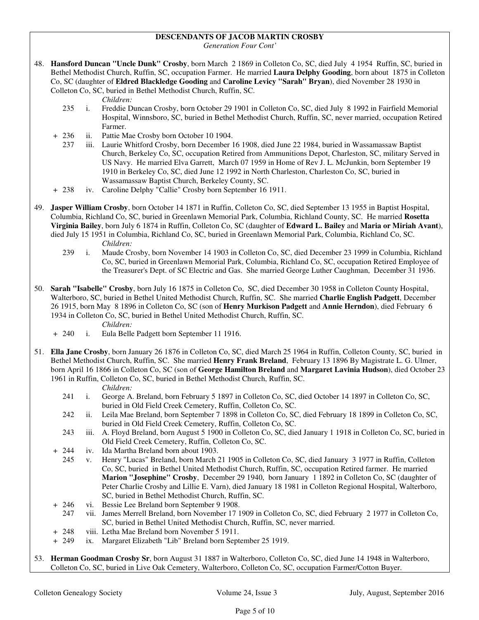## **DESCENDANTS OF JACOB MARTIN CROSBY**

*Generation Four Cont'* 

48. **Hansford Duncan "Uncle Dunk" Crosby**, born March 2 1869 in Colleton Co, SC, died July 4 1954 Ruffin, SC, buried in Bethel Methodist Church, Ruffin, SC, occupation Farmer. He married **Laura Delphy Gooding**, born about 1875 in Colleton Co, SC (daughter of **Eldred Blackledge Gooding** and **Caroline Levicy "Sarah" Bryan**), died November 28 1930 in Colleton Co, SC, buried in Bethel Methodist Church, Ruffin, SC.

*Children:*

- 235 i. Freddie Duncan Crosby, born October 29 1901 in Colleton Co, SC, died July 8 1992 in Fairfield Memorial Hospital, Winnsboro, SC, buried in Bethel Methodist Church, Ruffin, SC, never married, occupation Retired Farmer.
- + 236 ii. Pattie Mae Crosby born October 10 1904.
	- 237 iii. Laurie Whitford Crosby, born December 16 1908, died June 22 1984, buried in Wassamassaw Baptist Church, Berkeley Co, SC, occupation Retired from Ammunitions Depot, Charleston, SC, military Served in US Navy. He married Elva Garrett, March 07 1959 in Home of Rev J. L. McJunkin, born September 19 1910 in Berkeley Co, SC, died June 12 1992 in North Charleston, Charleston Co, SC, buried in Wassamassaw Baptist Church, Berkeley County, SC.
- + 238 iv. Caroline Delphy "Callie" Crosby born September 16 1911.
- 49. **Jasper William Crosby**, born October 14 1871 in Ruffin, Colleton Co, SC, died September 13 1955 in Baptist Hospital, Columbia, Richland Co, SC, buried in Greenlawn Memorial Park, Columbia, Richland County, SC. He married **Rosetta Virginia Bailey**, born July 6 1874 in Ruffin, Colleton Co, SC (daughter of **Edward L. Bailey** and **Maria or Miriah Avant**), died July 15 1951 in Columbia, Richland Co, SC, buried in Greenlawn Memorial Park, Columbia, Richland Co, SC. *Children:*
	- 239 i. Maude Crosby, born November 14 1903 in Colleton Co, SC, died December 23 1999 in Columbia, Richland Co, SC, buried in Greenlawn Memorial Park, Columbia, Richland Co, SC, occupation Retired Employee of the Treasurer's Dept. of SC Electric and Gas. She married George Luther Caughman, December 31 1936.
- 50. **Sarah "Isabelle" Crosby**, born July 16 1875 in Colleton Co, SC, died December 30 1958 in Colleton County Hospital, Walterboro, SC, buried in Bethel United Methodist Church, Ruffin, SC. She married **Charlie English Padgett**, December 26 1915, born May 8 1896 in Colleton Co, SC (son of **Henry Murkison Padgett** and **Annie Herndon**), died February 6 1934 in Colleton Co, SC, buried in Bethel United Methodist Church, Ruffin, SC.
	- *Children:*
	- + 240 i. Eula Belle Padgett born September 11 1916.
- 51. **Ella Jane Crosby**, born January 26 1876 in Colleton Co, SC, died March 25 1964 in Ruffin, Colleton County, SC, buried in Bethel Methodist Church, Ruffin, SC. She married **Henry Frank Breland**, February 13 1896 By Magistrate L. G. Ulmer, born April 16 1866 in Colleton Co, SC (son of **George Hamilton Breland** and **Margaret Lavinia Hudson**), died October 23 1961 in Ruffin, Colleton Co, SC, buried in Bethel Methodist Church, Ruffin, SC.

#### *Children:*

- 241 i. George A. Breland, born February 5 1897 in Colleton Co, SC, died October 14 1897 in Colleton Co, SC, buried in Old Field Creek Cemetery, Ruffin, Colleton Co, SC.
- 242 ii. Leila Mae Breland, born September 7 1898 in Colleton Co, SC, died February 18 1899 in Colleton Co, SC, buried in Old Field Creek Cemetery, Ruffin, Colleton Co, SC.
- 243 iii. A. Floyd Breland, born August 5 1900 in Colleton Co, SC, died January 1 1918 in Colleton Co, SC, buried in Old Field Creek Cemetery, Ruffin, Colleton Co, SC.
- + 244 iv. Ida Martha Breland born about 1903.
	- 245 v. Henry "Lucas" Breland, born March 21 1905 in Colleton Co, SC, died January 3 1977 in Ruffin, Colleton Co, SC, buried in Bethel United Methodist Church, Ruffin, SC, occupation Retired farmer. He married **Marion "Josephine" Crosby**, December 29 1940, born January 1 1892 in Colleton Co, SC (daughter of Peter Charlie Crosby and Lillie E. Varn), died January 18 1981 in Colleton Regional Hospital, Walterboro, SC, buried in Bethel Methodist Church, Ruffin, SC.
- + 246 vi. Bessie Lee Breland born September 9 1908.
- 247 vii. James Merrell Breland, born November 17 1909 in Colleton Co, SC, died February 2 1977 in Colleton Co, SC, buried in Bethel United Methodist Church, Ruffin, SC, never married.
- + 248 viii. Letha Mae Breland born November 5 1911.
- + 249 ix. Margaret Elizabeth "Lib" Breland born September 25 1919.
- 53. **Herman Goodman Crosby Sr**, born August 31 1887 in Walterboro, Colleton Co, SC, died June 14 1948 in Walterboro, Colleton Co, SC, buried in Live Oak Cemetery, Walterboro, Colleton Co, SC, occupation Farmer/Cotton Buyer.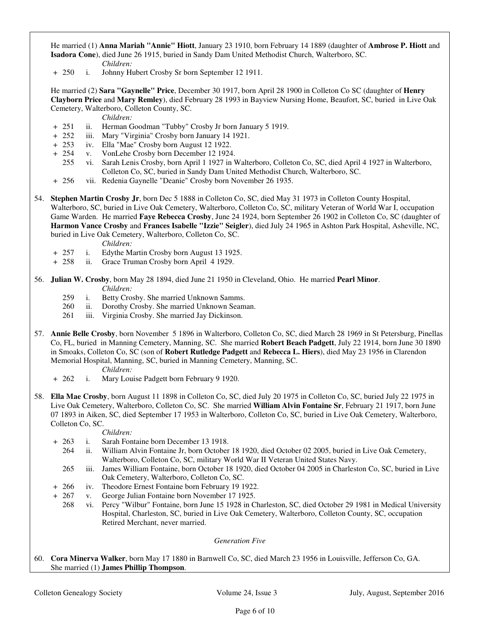He married (1) **Anna Mariah "Annie" Hiott**, January 23 1910, born February 14 1889 (daughter of **Ambrose P. Hiott** and **Isadora Cone**), died June 26 1915, buried in Sandy Dam United Methodist Church, Walterboro, SC.

 *Children:* + 250 i. Johnny Hubert Crosby Sr born September 12 1911.

 He married (2) **Sara "Gaynelle" Price**, December 30 1917, born April 28 1900 in Colleton Co SC (daughter of **Henry Clayborn Price** and **Mary Remley**), died February 28 1993 in Bayview Nursing Home, Beaufort, SC, buried in Live Oak Cemetery, Walterboro, Colleton County, SC.

*Children:*

- + 251 ii. Herman Goodman "Tubby" Crosby Jr born January 5 1919.<br>+ 252 iii. Mary "Virginia" Crosby born January 14 1921.
- iii. Mary "Virginia" Crosby born January 14 1921.
- + 253 iv. Ella "Mae" Crosby born August 12 1922.
- + 254 v. VonLehe Crosby born December 12 1924.
	- 255 vi. Sarah Lenis Crosby, born April 1 1927 in Walterboro, Colleton Co, SC, died April 4 1927 in Walterboro, Colleton Co, SC, buried in Sandy Dam United Methodist Church, Walterboro, SC.
- + 256 vii. Redenia Gaynelle "Deanie" Crosby born November 26 1935.
- 54. **Stephen Martin Crosby Jr**, born Dec 5 1888 in Colleton Co, SC, died May 31 1973 in Colleton County Hospital, Walterboro, SC, buried in Live Oak Cemetery, Walterboro, Colleton Co, SC, military Veteran of World War I, occupation Game Warden. He married **Faye Rebecca Crosby**, June 24 1924, born September 26 1902 in Colleton Co, SC (daughter of **Harmon Vance Crosby** and **Frances Isabelle "Izzie" Seigler**), died July 24 1965 in Ashton Park Hospital, Asheville, NC, buried in Live Oak Cemetery, Walterboro, Colleton Co, SC.

*Children:*

- + 257 i. Edythe Martin Crosby born August 13 1925.
- + 258 ii. Grace Truman Crosby born April 4 1929.
- 56. **Julian W. Crosby**, born May 28 1894, died June 21 1950 in Cleveland, Ohio. He married **Pearl Minor**. *Children:*
	- 259 i. Betty Crosby. She married Unknown Samms.
	- 260 ii. Dorothy Crosby. She married Unknown Seaman.
	- 261 iii. Virginia Crosby. She married Jay Dickinson.
- 57. **Annie Belle Crosby**, born November 5 1896 in Walterboro, Colleton Co, SC, died March 28 1969 in St Petersburg, Pinellas Co, FL, buried in Manning Cemetery, Manning, SC. She married **Robert Beach Padgett**, July 22 1914, born June 30 1890 in Smoaks, Colleton Co, SC (son of **Robert Rutledge Padgett** and **Rebecca L. Hiers**), died May 23 1956 in Clarendon Memorial Hospital, Manning, SC, buried in Manning Cemetery, Manning, SC.
	- *Children:*
	- + 262 i. Mary Louise Padgett born February 9 1920.
- 58. **Ella Mae Crosby**, born August 11 1898 in Colleton Co, SC, died July 20 1975 in Colleton Co, SC, buried July 22 1975 in Live Oak Cemetery, Walterboro, Colleton Co, SC. She married **William Alvin Fontaine Sr**, February 21 1917, born June 07 1893 in Aiken, SC, died September 17 1953 in Walterboro, Colleton Co, SC, buried in Live Oak Cemetery, Walterboro, Colleton Co, SC.

*Children:*

- + 263 i. Sarah Fontaine born December 13 1918.
	- 264 ii. William Alvin Fontaine Jr, born October 18 1920, died October 02 2005, buried in Live Oak Cemetery, Walterboro, Colleton Co, SC, military World War II Veteran United States Navy.
	- 265 iii. James William Fontaine, born October 18 1920, died October 04 2005 in Charleston Co, SC, buried in Live Oak Cemetery, Walterboro, Colleton Co, SC.
- + 266 iv. Theodore Ernest Fontaine born February 19 1922.
- + 267 v. George Julian Fontaine born November 17 1925.
	- 268 vi. Percy "Wilbur" Fontaine, born June 15 1928 in Charleston, SC, died October 29 1981 in Medical University Hospital, Charleston, SC, buried in Live Oak Cemetery, Walterboro, Colleton County, SC, occupation Retired Merchant, never married.

#### *Generation Five*

60. **Cora Minerva Walker**, born May 17 1880 in Barnwell Co, SC, died March 23 1956 in Louisville, Jefferson Co, GA. She married (1) **James Phillip Thompson**.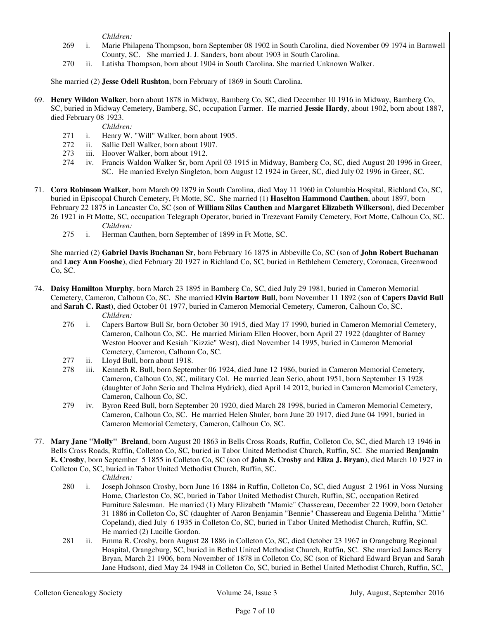- *Children:*
- 269 i. Marie Philapena Thompson, born September 08 1902 in South Carolina, died November 09 1974 in Barnwell County, SC. She married J. J. Sanders, born about 1903 in South Carolina.
- 270 ii. Latisha Thompson, born about 1904 in South Carolina. She married Unknown Walker.

She married (2) **Jesse Odell Rushton**, born February of 1869 in South Carolina.

69. **Henry Wildon Walker**, born about 1878 in Midway, Bamberg Co, SC, died December 10 1916 in Midway, Bamberg Co, SC, buried in Midway Cemetery, Bamberg, SC, occupation Farmer. He married **Jessie Hardy**, about 1902, born about 1887, died February 08 1923.

*Children:*

- 271 i. Henry W. "Will" Walker, born about 1905.
- 272 ii. Sallie Dell Walker, born about 1907.
- 273 iii. Hoover Walker, born about 1912.
- 274 iv. Francis Waldon Walker Sr, born April 03 1915 in Midway, Bamberg Co, SC, died August 20 1996 in Greer, SC. He married Evelyn Singleton, born August 12 1924 in Greer, SC, died July 02 1996 in Greer, SC.
- 71. **Cora Robinson Walker**, born March 09 1879 in South Carolina, died May 11 1960 in Columbia Hospital, Richland Co, SC, buried in Episcopal Church Cemetery, Ft Motte, SC. She married (1) **Haselton Hammond Cauthen**, about 1897, born February 22 1875 in Lancaster Co, SC (son of **William Silas Cauthen** and **Margaret Elizabeth Wilkerson**), died December 26 1921 in Ft Motte, SC, occupation Telegraph Operator, buried in Trezevant Family Cemetery, Fort Motte, Calhoun Co, SC. *Children:*
	- 275 i. Herman Cauthen, born September of 1899 in Ft Motte, SC.

 She married (2) **Gabriel Davis Buchanan Sr**, born February 16 1875 in Abbeville Co, SC (son of **John Robert Buchanan** and **Lucy Ann Fooshe**), died February 20 1927 in Richland Co, SC, buried in Bethlehem Cemetery, Coronaca, Greenwood Co, SC.

- 74. **Daisy Hamilton Murphy**, born March 23 1895 in Bamberg Co, SC, died July 29 1981, buried in Cameron Memorial Cemetery, Cameron, Calhoun Co, SC. She married **Elvin Bartow Bull**, born November 11 1892 (son of **Capers David Bull** and **Sarah C. Rast**), died October 01 1977, buried in Cameron Memorial Cemetery, Cameron, Calhoun Co, SC. *Children:*
	- 276 i. Capers Bartow Bull Sr, born October 30 1915, died May 17 1990, buried in Cameron Memorial Cemetery, Cameron, Calhoun Co, SC. He married Miriam Ellen Hoover, born April 27 1922 (daughter of Barney Weston Hoover and Kesiah "Kizzie" West), died November 14 1995, buried in Cameron Memorial Cemetery, Cameron, Calhoun Co, SC.
	- 277 ii. Lloyd Bull, born about 1918.
	- 278 iii. Kenneth R. Bull, born September 06 1924, died June 12 1986, buried in Cameron Memorial Cemetery, Cameron, Calhoun Co, SC, military Col. He married Jean Serio, about 1951, born September 13 1928 (daughter of John Serio and Thelma Hydrick), died April 14 2012, buried in Cameron Memorial Cemetery, Cameron, Calhoun Co, SC.
	- 279 iv. Byron Reed Bull, born September 20 1920, died March 28 1998, buried in Cameron Memorial Cemetery, Cameron, Calhoun Co, SC. He married Helen Shuler, born June 20 1917, died June 04 1991, buried in Cameron Memorial Cemetery, Cameron, Calhoun Co, SC.
- 77. **Mary Jane "Molly" Breland**, born August 20 1863 in Bells Cross Roads, Ruffin, Colleton Co, SC, died March 13 1946 in Bells Cross Roads, Ruffin, Colleton Co, SC, buried in Tabor United Methodist Church, Ruffin, SC. She married **Benjamin E. Crosby**, born September 5 1855 in Colleton Co, SC (son of **John S. Crosby** and **Eliza J. Bryan**), died March 10 1927 in Colleton Co, SC, buried in Tabor United Methodist Church, Ruffin, SC.
	- *Children:*
	- 280 i. Joseph Johnson Crosby, born June 16 1884 in Ruffin, Colleton Co, SC, died August 2 1961 in Voss Nursing Home, Charleston Co, SC, buried in Tabor United Methodist Church, Ruffin, SC, occupation Retired Furniture Salesman. He married (1) Mary Elizabeth "Mamie" Chassereau, December 22 1909, born October 31 1886 in Colleton Co, SC (daughter of Aaron Benjamin "Bennie" Chassereau and Eugenia Delitha "Mittie" Copeland), died July 6 1935 in Colleton Co, SC, buried in Tabor United Methodist Church, Ruffin, SC. He married (2) Lucille Gordon.
	- 281 ii. Emma R. Crosby, born August 28 1886 in Colleton Co, SC, died October 23 1967 in Orangeburg Regional Hospital, Orangeburg, SC, buried in Bethel United Methodist Church, Ruffin, SC. She married James Berry Bryan, March 21 1906, born November of 1878 in Colleton Co, SC (son of Richard Edward Bryan and Sarah Jane Hudson), died May 24 1948 in Colleton Co, SC, buried in Bethel United Methodist Church, Ruffin, SC,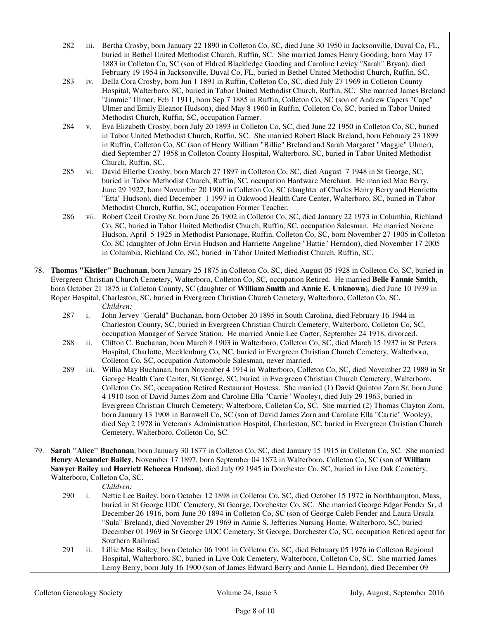- 282 iii. Bertha Crosby, born January 22 1890 in Colleton Co, SC, died June 30 1950 in Jacksonville, Duval Co, FL, buried in Bethel United Methodist Church, Ruffin, SC. She married James Henry Gooding, born May 17 1883 in Colleton Co, SC (son of Eldred Blackledge Gooding and Caroline Levicy "Sarah" Bryan), died February 19 1954 in Jacksonville, Duval Co, FL, buried in Bethel United Methodist Church, Ruffin, SC.
- 283 iv. Della Cora Crosby, born Jun 1 1891 in Ruffin, Colleton Co, SC, died July 27 1969 in Colleton County Hospital, Walterboro, SC, buried in Tabor United Methodist Church, Ruffin, SC. She married James Breland "Jimmie" Ulmer, Feb 1 1911, born Sep 7 1885 in Ruffin, Colleton Co, SC (son of Andrew Capers "Cape" Ulmer and Emily Eleanor Hudson), died May 8 1960 in Ruffin, Colleton Co, SC, buried in Tabor United Methodist Church, Ruffin, SC, occupation Farmer.
- 284 v. Eva Elizabeth Crosby, born July 20 1893 in Colleton Co, SC, died June 22 1950 in Colleton Co, SC, buried in Tabor United Methodist Church, Ruffin, SC. She married Robert Black Breland, born February 23 1899 in Ruffin, Colleton Co, SC (son of Henry William "Billie" Breland and Sarah Margaret "Maggie" Ulmer), died September 27 1958 in Colleton County Hospital, Walterboro, SC, buried in Tabor United Methodist Church, Ruffin, SC.
- 285 vi. David Ellerbe Crosby, born March 27 1897 in Colleton Co, SC, died August 7 1948 in St George, SC, buried in Tabor Methodist Church, Ruffin, SC, occupation Hardware Merchant. He married Mae Berry, June 29 1922, born November 20 1900 in Colleton Co, SC (daughter of Charles Henry Berry and Henrietta "Etta" Hudson), died December 1 1997 in Oakwood Health Care Center, Walterboro, SC, buried in Tabor Methodist Church, Ruffin, SC, occupation Former Teacher.
- 286 vii. Robert Cecil Crosby Sr, born June 26 1902 in Colleton Co, SC, died January 22 1973 in Columbia, Richland Co, SC, buried in Tabor United Methodist Church, Ruffin, SC, occupation Salesman. He married Norene Hudson, April 5 1925 in Methodist Parsonage, Ruffin, Colleton Co, SC, born November 27 1905 in Colleton Co, SC (daughter of John Ervin Hudson and Harriette Angeline "Hattie" Herndon), died November 17 2005 in Columbia, Richland Co, SC, buried in Tabor United Methodist Church, Ruffin, SC.
- 78. **Thomas "Kistler" Buchanan**, born January 25 1875 in Colleton Co, SC, died August 05 1928 in Colleton Co, SC, buried in Evergreen Christian Church Cemetery, Walterboro, Colleton Co, SC, occupation Retired. He married **Belle Fannie Smith**, born October 21 1875 in Colleton County, SC (daughter of **William Smith** and **Annie E. Unknown**), died June 10 1939 in Roper Hospital, Charleston, SC, buried in Evergreen Christian Church Cemetery, Walterboro, Colleton Co, SC. *Children:*
	- 287 i. John Jervey "Gerald" Buchanan, born October 20 1895 in South Carolina, died February 16 1944 in Charleston County, SC, buried in Evergreen Christian Church Cemetery, Walterboro, Colleton Co, SC, occupation Manager of Servce Station. He married Annie Lee Carter, September 24 1918, divorced.
	- 288 ii. Clifton C. Buchanan, born March 8 1903 in Walterboro, Colleton Co, SC, died March 15 1937 in St Peters Hospital, Charlotte, Mecklenburg Co, NC, buried in Evergreen Christian Church Cemetery, Walterboro, Colleton Co, SC, occupation Automobile Salesman, never married.
	- 289 iii. Willia May Buchanan, born November 4 1914 in Walterboro, Colleton Co, SC, died November 22 1989 in St George Health Care Center, St George, SC, buried in Evergreen Christian Church Cemetery, Walterboro, Colleton Co, SC, occupation Retired Restaurant Hostess. She married (1) David Quinton Zorn Sr, born June 4 1910 (son of David James Zorn and Caroline Ella "Carrie" Wooley), died July 29 1963, buried in Evergreen Christian Church Cemetery, Walterboro, Colleton Co, SC. She married (2) Thomas Clayton Zorn, born January 13 1908 in Barnwell Co, SC (son of David James Zorn and Caroline Ella "Carrie" Wooley), died Sep 2 1978 in Veteran's Administration Hospital, Charleston, SC, buried in Evergreen Christian Church Cemetery, Walterboro, Colleton Co, SC.
- 79. **Sarah "Alice" Buchanan**, born January 30 1877 in Colleton Co, SC, died January 15 1915 in Colleton Co, SC. She married **Henry Alexander Bailey**, November 17 1897, born September 04 1872 in Walterboro, Colleton Co, SC (son of **William Sawyer Bailey** and **Harriett Rebecca Hudson**), died July 09 1945 in Dorchester Co, SC, buried in Live Oak Cemetery, Walterboro, Colleton Co, SC.

*Children:*

- 290 i. Nettie Lee Bailey, born October 12 1898 in Colleton Co, SC, died October 15 1972 in Northhampton, Mass, buried in St George UDC Cemetery, St George, Dorchester Co, SC. She married George Edgar Fender Sr, d December 26 1916, born June 30 1894 in Colleton Co, SC (son of George Caleb Fender and Laura Ursula "Sula" Breland), died November 29 1969 in Annie S. Jefferies Nursing Home, Walterboro, SC, buried December 01 1969 in St George UDC Cemetery, St George, Dorchester Co, SC, occupation Retired agent for Southern Railroad.
- 291 ii. Lillie Mae Bailey, born October 06 1901 in Colleton Co, SC, died February 05 1976 in Colleton Regional Hospital, Walterboro, SC, buried in Live Oak Cemetery, Walterboro, Colleton Co, SC. She married James Leroy Berry, born July 16 1900 (son of James Edward Berry and Annie L. Herndon), died December 09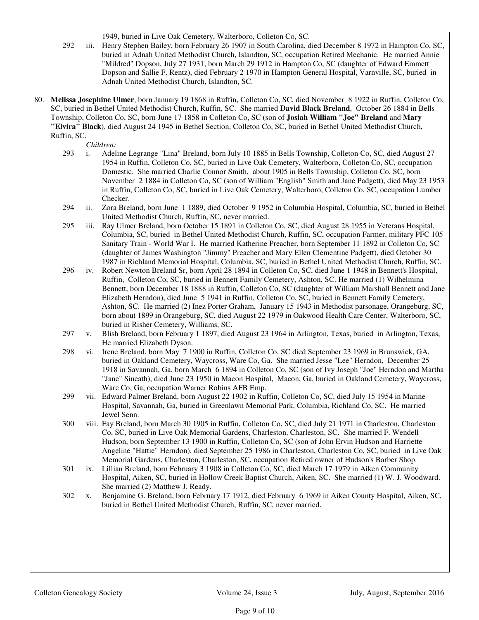1949, buried in Live Oak Cemetery, Walterboro, Colleton Co, SC.

- 292 iii. Henry Stephen Bailey, born February 26 1907 in South Carolina, died December 8 1972 in Hampton Co, SC, buried in Adnah United Methodist Church, Islandton, SC, occupation Retired Mechanic. He married Annie "Mildred" Dopson, July 27 1931, born March 29 1912 in Hampton Co, SC (daughter of Edward Emmett Dopson and Sallie F. Rentz), died February 2 1970 in Hampton General Hospital, Varnville, SC, buried in Adnah United Methodist Church, Islandton, SC.
- 80. **Melissa Josephine Ulmer**, born January 19 1868 in Ruffin, Colleton Co, SC, died November 8 1922 in Ruffin, Colleton Co, SC, buried in Bethel United Methodist Church, Ruffin, SC. She married **David Black Breland**, October 26 1884 in Bells Township, Colleton Co, SC, born June 17 1858 in Colleton Co, SC (son of **Josiah William "Joe" Breland** and **Mary "Elvira" Black**), died August 24 1945 in Bethel Section, Colleton Co, SC, buried in Bethel United Methodist Church, Ruffin, SC.

*Children:*

- 293 i. Adeline Legrange "Lina" Breland, born July 10 1885 in Bells Township, Colleton Co, SC, died August 27 1954 in Ruffin, Colleton Co, SC, buried in Live Oak Cemetery, Walterboro, Colleton Co, SC, occupation Domestic. She married Charlie Connor Smith, about 1905 in Bells Township, Colleton Co, SC, born November 2 1884 in Colleton Co, SC (son of William "English" Smith and Jane Padgett), died May 23 1953 in Ruffin, Colleton Co, SC, buried in Live Oak Cemetery, Walterboro, Colleton Co, SC, occupation Lumber Checker.
- 294 ii. Zora Breland, born June 1 1889, died October 9 1952 in Columbia Hospital, Columbia, SC, buried in Bethel United Methodist Church, Ruffin, SC, never married.
- 295 iii. Ray Ulmer Breland, born October 15 1891 in Colleton Co, SC, died August 28 1955 in Veterans Hospital, Columbia, SC, buried in Bethel United Methodist Church, Ruffin, SC, occupation Farmer, military PFC 105 Sanitary Train - World War I. He married Katherine Preacher, born September 11 1892 in Colleton Co, SC (daughter of James Washington "Jimmy" Preacher and Mary Ellen Clementine Padgett), died October 30 1987 in Richland Memorial Hospital, Columbia, SC, buried in Bethel United Methodist Church, Ruffin, SC.
- 296 iv. Robert Newton Breland Sr, born April 28 1894 in Colleton Co, SC, died June 1 1948 in Bennett's Hospital, Ruffin, Colleton Co, SC, buried in Bennett Family Cemetery, Ashton, SC. He married (1) Wilhelmina Bennett, born December 18 1888 in Ruffin, Colleton Co, SC (daughter of William Marshall Bennett and Jane Elizabeth Herndon), died June 5 1941 in Ruffin, Colleton Co, SC, buried in Bennett Family Cemetery, Ashton, SC. He married (2) Inez Porter Graham, January 15 1943 in Methodist parsonage, Orangeburg, SC, born about 1899 in Orangeburg, SC, died August 22 1979 in Oakwood Health Care Center, Walterboro, SC, buried in Risher Cemetery, Williams, SC.
- 297 v. Blish Breland, born February 1 1897, died August 23 1964 in Arlington, Texas, buried in Arlington, Texas, He married Elizabeth Dyson.
- 298 vi. Irene Breland, born May 7 1900 in Ruffin, Colleton Co, SC died September 23 1969 in Brunswick, GA, buried in Oakland Cemetery, Waycross, Ware Co, Ga. She married Jesse "Lee" Herndon, December 25 1918 in Savannah, Ga, born March 6 1894 in Colleton Co, SC (son of Ivy Joseph "Joe" Herndon and Martha "Jane" Sineath), died June 23 1950 in Macon Hospital, Macon, Ga, buried in Oakland Cemetery, Waycross, Ware Co, Ga, occupation Warner Robins AFB Emp.
- 299 vii. Edward Palmer Breland, born August 22 1902 in Ruffin, Colleton Co, SC, died July 15 1954 in Marine Hospital, Savannah, Ga, buried in Greenlawn Memorial Park, Columbia, Richland Co, SC. He married Jewel Senn.
- 300 viii. Fay Breland, born March 30 1905 in Ruffin, Colleton Co, SC, died July 21 1971 in Charleston, Charleston Co, SC, buried in Live Oak Memorial Gardens, Charleston, Charleston, SC. She married F. Wendell Hudson, born September 13 1900 in Ruffin, Colleton Co, SC (son of John Ervin Hudson and Harriette Angeline "Hattie" Herndon), died September 25 1986 in Charleston, Charleston Co, SC, buried in Live Oak Memorial Gardens, Charleston, Charleston, SC, occupation Retired owner of Hudson's Barber Shop.
- 301 ix. Lillian Breland, born February 3 1908 in Colleton Co, SC, died March 17 1979 in Aiken Community Hospital, Aiken, SC, buried in Hollow Creek Baptist Church, Aiken, SC. She married (1) W. J. Woodward. She married (2) Matthew J. Ready.
- 302 x. Benjamine G. Breland, born February 17 1912, died February 6 1969 in Aiken County Hospital, Aiken, SC, buried in Bethel United Methodist Church, Ruffin, SC, never married.